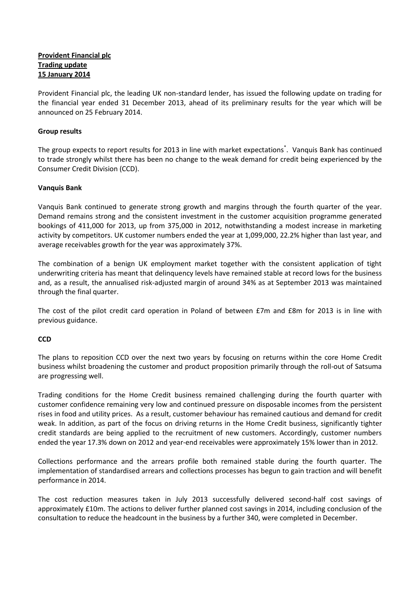# **Provident Financial plc Trading update 15 January 2014**

Provident Financial plc, the leading UK non-standard lender, has issued the following update on trading for the financial year ended 31 December 2013, ahead of its preliminary results for the year which will be announced on 25 February 2014.

## **Group results**

The group expects to report results for 2013 in line with market expectations<sup>\*</sup>. Vanquis Bank has continued to trade strongly whilst there has been no change to the weak demand for credit being experienced by the Consumer Credit Division (CCD).

## **Vanquis Bank**

Vanquis Bank continued to generate strong growth and margins through the fourth quarter of the year. Demand remains strong and the consistent investment in the customer acquisition programme generated bookings of 411,000 for 2013, up from 375,000 in 2012, notwithstanding a modest increase in marketing activity by competitors. UK customer numbers ended the year at 1,099,000, 22.2% higher than last year, and average receivables growth for the year was approximately 37%.

The combination of a benign UK employment market together with the consistent application of tight underwriting criteria has meant that delinquency levels have remained stable at record lows for the business and, as a result, the annualised risk-adjusted margin of around 34% as at September 2013 was maintained through the final quarter.

The cost of the pilot credit card operation in Poland of between £7m and £8m for 2013 is in line with previous guidance.

### **CCD**

The plans to reposition CCD over the next two years by focusing on returns within the core Home Credit business whilst broadening the customer and product proposition primarily through the roll-out of Satsuma are progressing well.

Trading conditions for the Home Credit business remained challenging during the fourth quarter with customer confidence remaining very low and continued pressure on disposable incomes from the persistent rises in food and utility prices. As a result, customer behaviour has remained cautious and demand for credit weak. In addition, as part of the focus on driving returns in the Home Credit business, significantly tighter credit standards are being applied to the recruitment of new customers. Accordingly, customer numbers ended the year 17.3% down on 2012 and year-end receivables were approximately 15% lower than in 2012.

Collections performance and the arrears profile both remained stable during the fourth quarter. The implementation of standardised arrears and collections processes has begun to gain traction and will benefit performance in 2014.

The cost reduction measures taken in July 2013 successfully delivered second-half cost savings of approximately £10m. The actions to deliver further planned cost savings in 2014, including conclusion of the consultation to reduce the headcount in the business by a further 340, were completed in December.